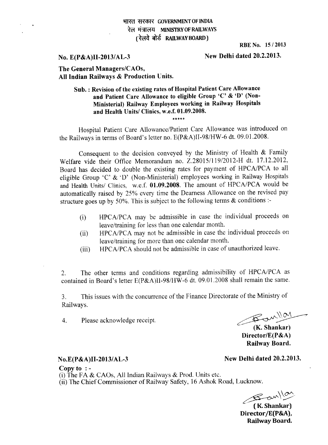#### **311Wf tH4.4R- GOVERNMENT OF INDIA**  रेल मंत्रालय MINISTRY OF RAILWAYS (रेलवे बोर्ड RAILWAY BOARD)

**RBE No. 15 / 2013** 

**No. E(P&A)II-2013/AL-3** New Delhi dated 20.2.2013.

#### **The General Managers/CAOs, All Indian Railways & Production Units.**

### **Sub. Revision of the existing rates of Hospital Patient Care Allowance and Patient Care Allowance to eligible Group 'C' & 'D' (Non-Ministerial) Railway Employees working in Railway Hospitals and Health Units/ Clinics, w.e.f. 01.09.2008.**

\*\*\*\*\*

Hospital Patient Care Allowance/Patient Care Allowance was introduced on the Railways in terms of Board's letter no. E(P&A)II-98/HW-6 dt. 09.01.2008.

Consequent to the decision conveyed by the Ministry of Health & Family Welfare vide their Office Memorandum no. Z.28015/119/2012-H dt. **17.12.2012,**  Board has decided to double the existing rates for payment of HPCA/PCA to all eligible Group 'C' & 'D' (Non-Ministerial) employees working in Railway Hospitals and Health Units/ Clinics, w.e.f. **01.09.2008.** The amount of HPCA/PCA would be automatically raised by 25% every time the Dearness Allowance on the revised pay structure goes up by 50%. This is subject to the following terms  $\&$  conditions :-

- (i) HPCA/PCA may be admissible in case the individual proceeds on leave/training for less than one calendar month.
- (ii) HPCA/PCA may not be admissible in case the individual proceeds on leave/training for more than one calendar month.
- (iii) HPCA/PCA should not be admissible in case of unauthorized leave.

2. The other terms and conditions regarding admissibility of HPCA/PCA as contained in Board's letter E(P&A)II-98/HW-6 dt. 09.01.2008 shall remain the same.

3. This issues with the concurrence of the Finance Directorate of the Ministry of Railways.

4. Please acknowledge receipt.

Banllar

**(K. Shankar) Director/E(P&A) Railway Board.** 

### **No.E(P&A)II-2013/AL-3** New Delhi dated 20.2.2013.

**Copy to : -**  (i) The FA *&* CAOs, All Indian Railways & Prod. Units etc. (ii) The Chief Commissioner of Railway Safety, 16 Ashok Road, Lucknow.

 $B$ an/or

**( K. Shankar) Director/E(P&A), Railway Board.**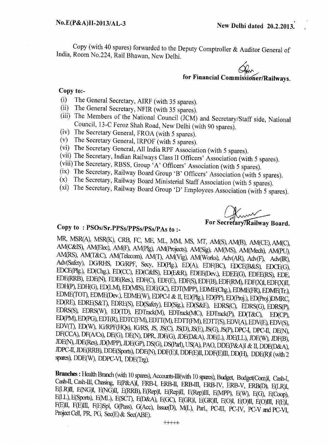Copy (with 40 spares) forwarded to the Deputy Comptroller & Auditor General of India, Room No.224, Rail Bhawan, New Delhi.

for Financial Commissioner/Railways.

#### **Copy to:-**

- (i) The General Secretary, AIRF (with 35 spares).
- (ii) The General Secretary, NFIR (with 35 spares).
- (iii) The Members of the National Council (JCM) and Secretary/Staff side, National Council, 13-C Feroz Shah Road, New Delhi (with 90 spares).
- (iv) The Secretary General, FROA (with 5 spares).
- (v) The Secretary General, IRPOF (with 5 spares).
- (vi) The Secretary General, All India RPF Association (with 5 spares).
- (vii) The Secretary, Indian Railways Class II Officers' Association (with 5 spares).
- (viii)The Secretary, RBSS, Group 'A' Officers' Association (with 5 spares).
- (ix) The Secretary, Railway Board Group 'B' Officers' Association (with 5 spares).<br>(x) The Secretary Railway Board Ministerial Staff Association (with 5 spares).
- The Secretary, Railway Board Ministerial Staff Association (with 5 spares).
- (xi) The Secretary, Railway Board Group 'D' Employees Association (with 5 spares).

**For Secretary/Railway Board.** 

# **Copy to : PS0s/Sr.PPSs/PPSs/PSs/PAs to :-**

**MR,** MSR(A), MSR(K), CRB, FC, ME, ML, MM, MS, MT, AM(S), AM(B), AM(CE), AM(C), AM(C&IS), AM(Elec), AM(F), AM(Plg), AM(Projects), AM(Sig), AM(MS), AM(Mech), AM(PU), AM(RS), AM(T&C), AM(Telecom), AM(T), AM(Vig), AM(Works), Adv(AR), Adv(F), Adv(IR), Adv(Safety), DG/RHS, DG/RPF, Secy, ED(Plg.), ED(A), EDF(BC), EDCE(B&S), EDCE(G), EDCE(Plg.), ED(Chg.), ED(CC), ED(C&IS), ED(E&R), EDEE(Dev.), EDEE(G), EDEE(RS), EDE, EDE(RRB), EDE(N), EDE(Res.), EDF(C), EDF(E), EDF(S), EDF(B), EDF(RM), EDF(X)I, EDF(X)II, FDH(P), EDH(G), ED(LM), ED(MIS), EDE(GC), EDT(MPP), EDME(Chg.), EDME(FR), EDME(Tr•), EDME(TOT), EDME(Dev.), EDME(W), EDPC-I & II, ED(Plg.), ED(Pp), ED(Proj.), ED(Proj.)DMRC, ED(RE), EDRE(S&T), EDRE(S), ED(Safety), ED(Sig.), ED(S&E), EDRS(C), EDRS(G), EDRS(P), EDRS(S), EDRS(W), ED(TD), EDTrack(M), EDTrack(MC), EDTrack(P), ED(T&C), ED(CP), ED(PM), ED(PG), EDT(R), EDTC(FM), EDTT(M), EDTT(FM), EDTT(S), EDV(A), EDV(E), EDV(S), EDV(T), ED(W), IG/RPF(HQs), IG/RS, JS, JS(C), JS(D), JS(E), JS(G), JS(P), DPC-I, DPC-II, DE(N), DF(CCA), DF(A/Cs), DE(G), DE(N), DPR, JDE(G), JDE(D&A), JDE(L), JDE(LL), JDE(W), JDF(B), JDE(N), JDE(Res), JD(MPP), JDE(GP), DS(G), DS(Parl), US(A), PAO, DDE(P&A)I & II, DDE(D&A), JDPC-II, JDE(RRB), DDE(Sports), DDE(N), DDF(E)I, DDF(E)II, DDF(E)111, DD(H), DDE(R)I (with 2 spares), DDE(W), DDPC-VI, DDE(Trg).

Branches : Health Branch (with 10 spares), Accounts-III(with 10 spares), Budget, Budget(Com)I, Cash-I, Cash-II, Cash-III, Chasing, E(P&A)I, ERB-I, ERB-II, ERB-II, ERB-IV, ERB-V, ERB(D), E(LR)I, E(LR)II, E(NG)I, E(NG)II, E(RRB), E(Rep)I, E(Rep)II, E(Rep)III, E(MPP), E(W), E(G), E(Coop),<br>E(LL), E(Sports), E(ML), E(SCT), E(D&A), E(GC), E(GR)I, E(GR)II, E(O)I, E(O)II, E(O)III, F(E)I, F(E)II, F(E)111, F(E)Spl, G(Pass), G(Acc), Issue(D), M(L), Parl., PC-III, PC-IV, PC-V and PC-VI, Project Cell, PR, PG, Sec(E)& Sec(ABE).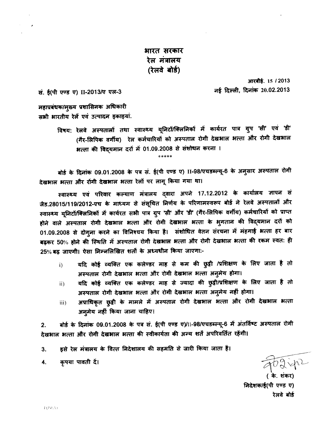## भारत सरकार रेल मंत्रालय (रेलवे बोर्ड)

सं. ई(पी एण्ड ए) II-2013/ए एल-3

आरबीई. 15 / 2013 नई दिल्ली, दिनांक 20.02.2013

महाप्रबंधक/मुख्य प्रशासिनक अधिकारी सभी भारतीय रेलें एवं उत्पादन इकाइयां.

> विषय: रेलवे अस्पतालों तथा स्वास्थ्य यूनिटों/क्लिनिकों में कार्यरत पात्र ग्रुप 'सी' एवं 'डी' (गैर-लिपिक वर्गीय) रेल कर्मचारियों को अस्पताल रोगी देखभाल भत्ता और रोगी देखभाल भत्ता की विद्यमान दरों में 01.09.2008 से संशोधन करना ।

\*\*\*\*\*

बोर्ड के दिनांक 09.01.2008 के पत्र सं. ई(पी एण्ड ए) II-98/एचडब्ल्यू-6 के अनुसार अस्पताल रोगी देखभाल भत्ता और रोंगी देखभाल भत्ता रेलों पर लागू किया गया था।

स्वास्थ्य एवं परिवार कल्याण मंत्रालय दवारा अपने 17.12.2012 के कार्यालय ज्ञापन सं जैड.28015/119/2012-एच के माध्यम से संसूचित निर्णय के परिणामस्वरूप बोर्ड ने रेलवे अस्पतालों और स्वास्थ्य यूनिटों/क्लिनिकों में कार्यरत सभी पात्र ग्रुप 'सी' और 'डी' (गैर-लिपिक वर्गीय) कर्मचारियों को प्राप्त होने वाले अस्पताल रोगी देखभाल भत्ता और रोगी देखभाल भत्ता के भुगतान की विद्यमान दरों को 01.09.2008 से दोगुना करने का विनिश्चय किया है। संशोधित वेतन संरचना में महगाई भत्ता हर बार बढ़कर 50% होने की स्थिति में अस्पताल रोगी देखभाल भत्ता और रोगी देखभाल भत्ता की रकम स्वतः ही 25% बढ़ जाएगी। ऐसा निम्नलिखित शर्तों के अध्यधीन किया जाएगा:-

- यदि कोई व्यक्ति एक कलेण्डर माह से कम की छुट्टी /प्रशिक्षण के लिए जाता है तो  $i)$ अस्पताल रोगी देखभाल भत्ता और रोगी देखभाल भत्ता अनुमेय होगा।
- यदि कोई व्यक्ति एक कलेण्डर माह से ज्यादा की छुट्टी/प्रशिक्षण के लिए जाता है तो  $\overline{11}$ अस्पताल रोगी देखभाल भत्ता और रोगी देखभाल भत्ता अनुमेय नहीं होगा।
- अप्राधिकृत छुट्टी के मामले में अस्पताल रोगी देखभाल भत्ता और रोगी देखभाल भत्ता iii) अनुमेय नहीं किया जाना चाहिए।

बोर्ड के दिनांक 09.01.2008 के पत्र सं. ई(पी एण्ड ए)/।।-98/एचडब्ल्यू-6 में अंतर्विष्ट अस्पताल रोगी  $2<sub>1</sub>$ देखभाल भत्ता और रोगी देखभाल भत्ता की स्वीकार्यता की अन्य शर्तें अपरिवर्तित रहेंगी।

- इसे रेल मंत्रालय के वित्त निदेशालय की सहमति से जारी किया जाता है। 3.
- कृपया पावती दें। 4.

FO2 ip2

निदेशक/ई(पी एण्ड ए) रेलवे बोर्ड

F(P&A)